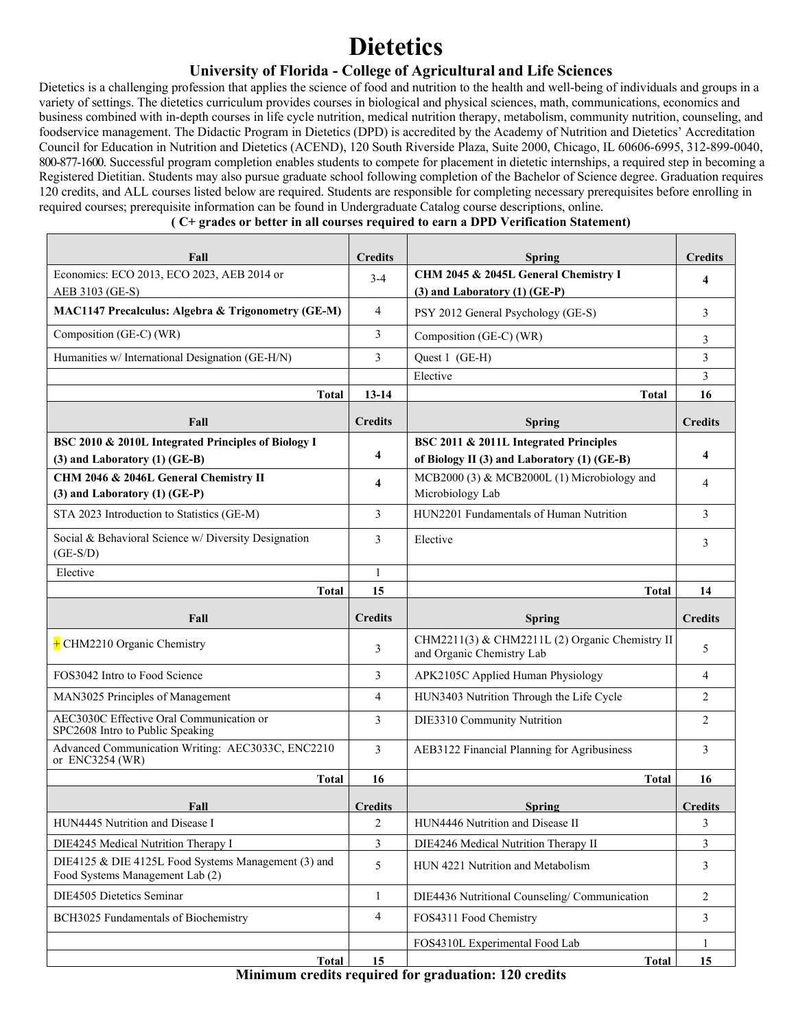## **Dietetics**

## **University of Florida - College of Agricultural and Life Sciences**

Dietetics is a challenging profession that applies the science of food and nutrition to the health and well-being of individuals and groups in a variety of settings. The dietetics curriculum provides courses in biological and physical sciences, math, communications, economics and business combined with in-depth courses in life cycle nutrition, medical nutrition therapy, metabolism, community nutrition, counseling, and foodservice management. The Didactic Program in Dietetics (DPD) is accredited by the Academy of Nutrition and Dietetics' Accreditation Council for Education in Nutrition and Dietetics (ACEND), 120 South Riverside Plaza, Suite 2000, Chicago, IL 60606-6995, 312-899-0040, 800-877-1600. Successful program completion enables students to compete for placement in dietetic internships, a required step in becoming a Registered Dietitian. Students may also pursue graduate school following completion of the Bachelor of Science degree. Graduation requires 120 credits, and ALL courses listed below are required. Students are responsible for completing necessary prerequisites before enrolling in required courses; prerequisite information can be found in Undergraduate Catalog course descriptions, online.

#### **( C+ grades or better in all courses required to earn a DPD Verification Statement)**

| Fall                                                                                   | <b>Credits</b> | <b>Spring</b>                                                                         | <b>Credits</b>      |
|----------------------------------------------------------------------------------------|----------------|---------------------------------------------------------------------------------------|---------------------|
| Economics: ECO 2013, ECO 2023, AEB 2014 or                                             | $3 - 4$        | CHM 2045 & 2045L General Chemistry I                                                  | 4                   |
| AEB 3103 (GE-S)                                                                        |                | $(3)$ and Laboratory $(1)$ (GE-P)                                                     |                     |
| MAC1147 Precalculus: Algebra & Trigonometry (GE-M)                                     | $\overline{4}$ | PSY 2012 General Psychology (GE-S)                                                    | 3                   |
| Composition (GE-C) (WR)                                                                | 3              | Composition (GE-C) (WR)                                                               | 3                   |
| Humanities w/ International Designation (GE-H/N)                                       | 3              | Quest 1 (GE-H)                                                                        | 3                   |
|                                                                                        |                | Elective                                                                              | 3                   |
| Total                                                                                  | $13 - 14$      | Total                                                                                 | 16                  |
| Fall                                                                                   | <b>Credits</b> | <b>Spring</b>                                                                         | <b>Credits</b>      |
| BSC 2010 & 2010L Integrated Principles of Biology I<br>(3) and Laboratory (1) (GE-B)   | 4              | BSC 2011 & 2011L Integrated Principles<br>of Biology II (3) and Laboratory (1) (GE-B) | $\overline{\bf{4}}$ |
| CHM 2046 & 2046L General Chemistry II<br>(3) and Laboratory (1) (GE-P)                 | 4              | MCB2000 (3) & MCB2000L (1) Microbiology and<br>Microbiology Lab                       | $\overline{4}$      |
| STA 2023 Introduction to Statistics (GE-M)                                             | 3              | HUN2201 Fundamentals of Human Nutrition                                               | 3                   |
| Social & Behavioral Science w/ Diversity Designation<br>$(GE-S/D)$                     | 3              | Elective                                                                              | 3                   |
| Elective                                                                               | 1              |                                                                                       |                     |
| Total                                                                                  | 15             | <b>Total</b>                                                                          | 14                  |
|                                                                                        |                |                                                                                       |                     |
| Fall                                                                                   | <b>Credits</b> | <b>Spring</b>                                                                         | <b>Credits</b>      |
| $+$ CHM2210 Organic Chemistry                                                          | 3              | CHM2211(3) & CHM2211L (2) Organic Chemistry II<br>and Organic Chemistry Lab           | 5                   |
| FOS3042 Intro to Food Science                                                          | 3              | APK2105C Applied Human Physiology                                                     | $\overline{4}$      |
| MAN3025 Principles of Management                                                       | $\overline{4}$ | HUN3403 Nutrition Through the Life Cycle                                              | $\overline{2}$      |
| AEC3030C Effective Oral Communication or<br>SPC2608 Intro to Public Speaking           | 3              | DIE3310 Community Nutrition                                                           | $\overline{2}$      |
| Advanced Communication Writing: AEC3033C, ENC2210<br>or ENC3254 (WR)                   | 3              | AEB3122 Financial Planning for Agribusiness                                           | 3                   |
| <b>Total</b>                                                                           | 16             | <b>Total</b>                                                                          | 16                  |
| Fall                                                                                   | <b>Credits</b> | <b>Spring</b>                                                                         | <b>Credits</b>      |
| HUN4445 Nutrition and Disease I                                                        | 2              | HUN4446 Nutrition and Disease II                                                      | 3                   |
| DIE4245 Medical Nutrition Therapy I                                                    | 3              | DIE4246 Medical Nutrition Therapy II                                                  | 3                   |
| DIE4125 & DIE 4125L Food Systems Management (3) and<br>Food Systems Management Lab (2) | 5              | HUN 4221 Nutrition and Metabolism                                                     | 3                   |
| DIE4505 Dietetics Seminar                                                              | $\mathbf{1}$   | DIE4436 Nutritional Counseling/Communication                                          | $\overline{2}$      |
| BCH3025 Fundamentals of Biochemistry                                                   | 4              | FOS4311 Food Chemistry                                                                | 3                   |
|                                                                                        |                | FOS4310L Experimental Food Lab                                                        |                     |

**Minimum credits required for graduation: 120 credits**